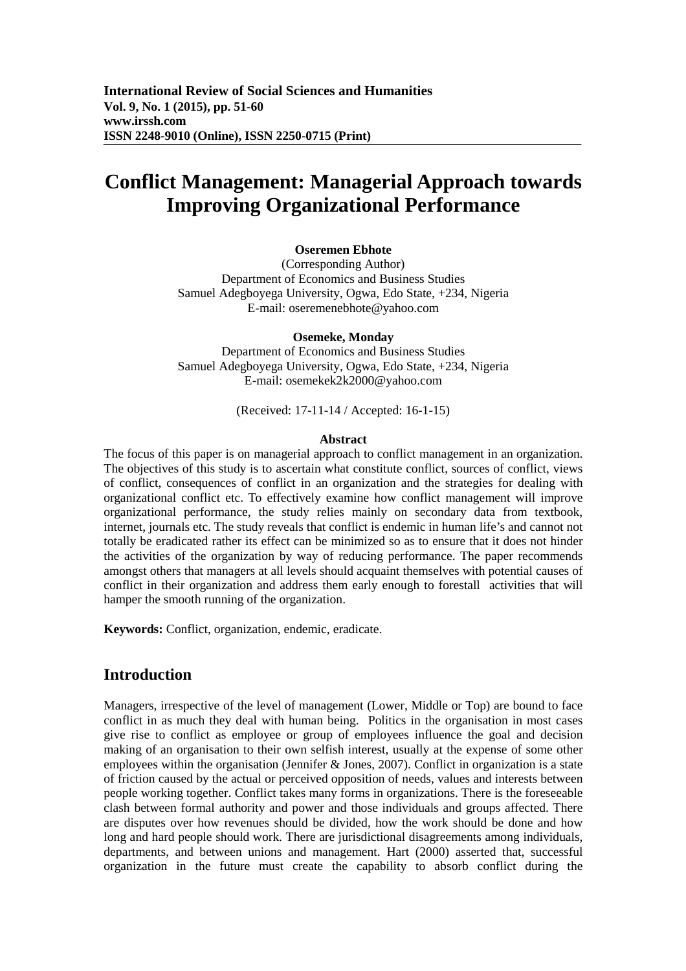# **Conflict Management: Managerial Approach towards Improving Organizational Performance**

#### **Oseremen Ebhote**

(Corresponding Author) Department of Economics and Business Studies Samuel Adegboyega University, Ogwa, Edo State, +234, Nigeria E-mail: oseremenebhote@yahoo.com

#### **Osemeke, Monday**

Department of Economics and Business Studies Samuel Adegboyega University, Ogwa, Edo State, +234, Nigeria E-mail: osemekek2k2000@yahoo.com

(Received: 17-11-14 / Accepted: 16-1-15)

#### **Abstract**

The focus of this paper is on managerial approach to conflict management in an organization. The objectives of this study is to ascertain what constitute conflict, sources of conflict, views of conflict, consequences of conflict in an organization and the strategies for dealing with organizational conflict etc. To effectively examine how conflict management will improve organizational performance, the study relies mainly on secondary data from textbook, internet, journals etc. The study reveals that conflict is endemic in human life's and cannot not totally be eradicated rather its effect can be minimized so as to ensure that it does not hinder the activities of the organization by way of reducing performance. The paper recommends amongst others that managers at all levels should acquaint themselves with potential causes of conflict in their organization and address them early enough to forestall activities that will hamper the smooth running of the organization.

**Keywords:** Conflict, organization, endemic, eradicate.

### **Introduction**

Managers, irrespective of the level of management (Lower, Middle or Top) are bound to face conflict in as much they deal with human being. Politics in the organisation in most cases give rise to conflict as employee or group of employees influence the goal and decision making of an organisation to their own selfish interest, usually at the expense of some other employees within the organisation (Jennifer  $\&$  Jones, 2007). Conflict in organization is a state of friction caused by the actual or perceived opposition of needs, values and interests between people working together. Conflict takes many forms in organizations. There is the foreseeable clash between formal authority and power and those individuals and groups affected. There are disputes over how revenues should be divided, how the work should be done and how long and hard people should work. There are jurisdictional disagreements among individuals, departments, and between unions and management. Hart (2000) asserted that, successful organization in the future must create the capability to absorb conflict during the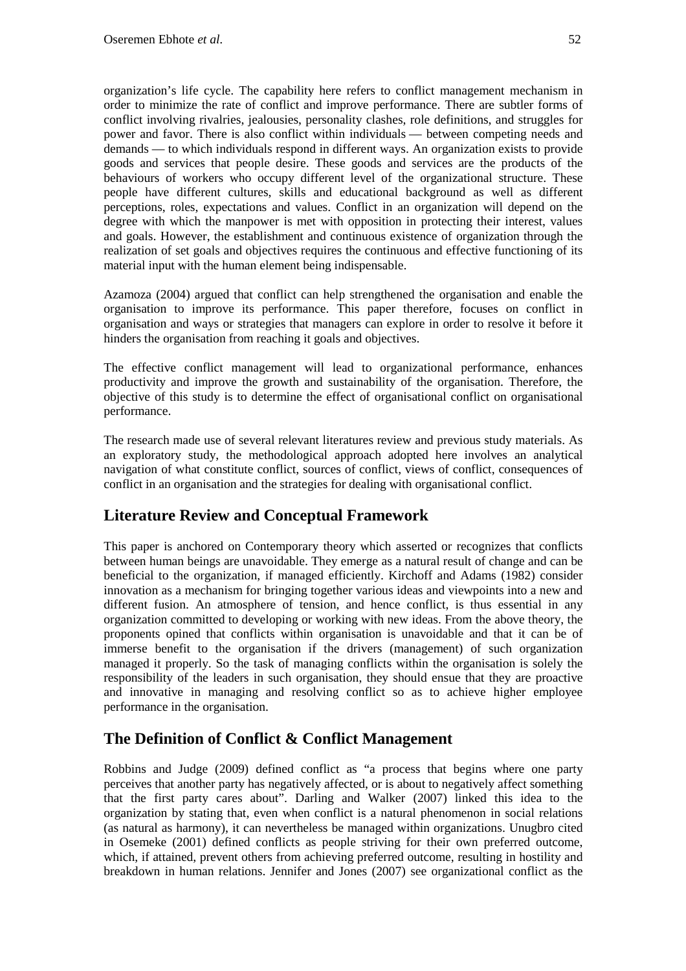organization's life cycle. The capability here refers to conflict management mechanism in order to minimize the rate of conflict and improve performance. There are subtler forms of conflict involving rivalries, jealousies, personality clashes, role definitions, and struggles for power and favor. There is also conflict within individuals — between competing needs and demands — to which individuals respond in different ways. An organization exists to provide goods and services that people desire. These goods and services are the products of the behaviours of workers who occupy different level of the organizational structure. These people have different cultures, skills and educational background as well as different perceptions, roles, expectations and values. Conflict in an organization will depend on the degree with which the manpower is met with opposition in protecting their interest, values and goals. However, the establishment and continuous existence of organization through the realization of set goals and objectives requires the continuous and effective functioning of its material input with the human element being indispensable.

Azamoza (2004) argued that conflict can help strengthened the organisation and enable the organisation to improve its performance. This paper therefore, focuses on conflict in organisation and ways or strategies that managers can explore in order to resolve it before it hinders the organisation from reaching it goals and objectives.

The effective conflict management will lead to organizational performance, enhances productivity and improve the growth and sustainability of the organisation. Therefore, the objective of this study is to determine the effect of organisational conflict on organisational performance.

The research made use of several relevant literatures review and previous study materials. As an exploratory study, the methodological approach adopted here involves an analytical navigation of what constitute conflict, sources of conflict, views of conflict, consequences of conflict in an organisation and the strategies for dealing with organisational conflict.

## **Literature Review and Conceptual Framework**

This paper is anchored on Contemporary theory which asserted or recognizes that conflicts between human beings are unavoidable. They emerge as a natural result of change and can be beneficial to the organization, if managed efficiently. Kirchoff and Adams (1982) consider innovation as a mechanism for bringing together various ideas and viewpoints into a new and different fusion. An atmosphere of tension, and hence conflict, is thus essential in any organization committed to developing or working with new ideas. From the above theory, the proponents opined that conflicts within organisation is unavoidable and that it can be of immerse benefit to the organisation if the drivers (management) of such organization managed it properly. So the task of managing conflicts within the organisation is solely the responsibility of the leaders in such organisation, they should ensue that they are proactive and innovative in managing and resolving conflict so as to achieve higher employee performance in the organisation.

## **The Definition of Conflict & Conflict Management**

Robbins and Judge (2009) defined conflict as "a process that begins where one party perceives that another party has negatively affected, or is about to negatively affect something that the first party cares about". Darling and Walker (2007) linked this idea to the organization by stating that, even when conflict is a natural phenomenon in social relations (as natural as harmony), it can nevertheless be managed within organizations. Unugbro cited in Osemeke (2001) defined conflicts as people striving for their own preferred outcome, which, if attained, prevent others from achieving preferred outcome, resulting in hostility and breakdown in human relations. Jennifer and Jones (2007) see organizational conflict as the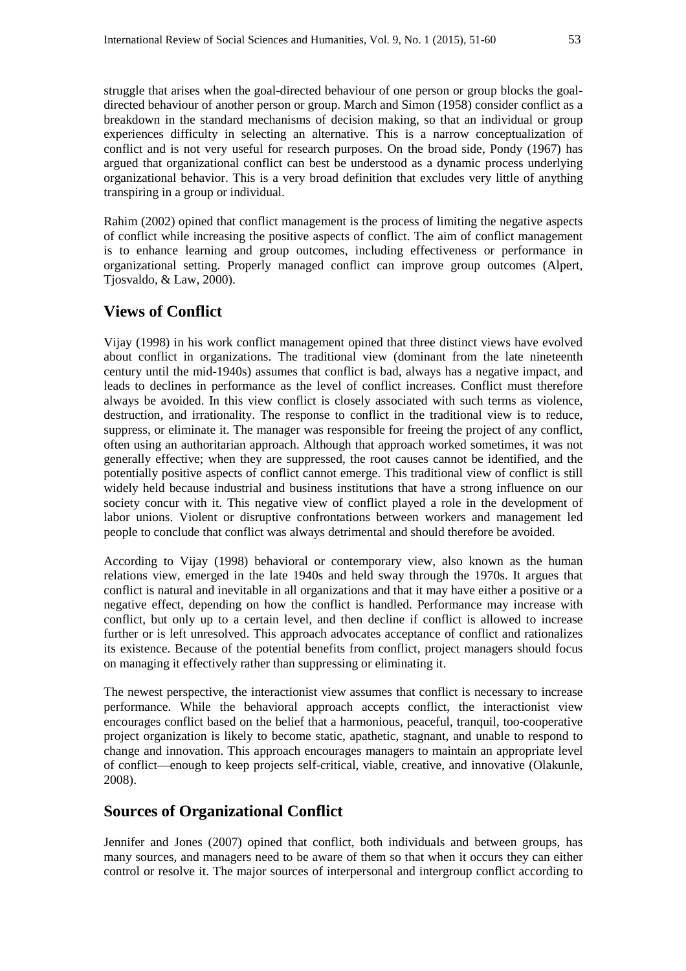struggle that arises when the goal-directed behaviour of one person or group blocks the goaldirected behaviour of another person or group. March and Simon (1958) consider conflict as a breakdown in the standard mechanisms of decision making, so that an individual or group experiences difficulty in selecting an alternative. This is a narrow conceptualization of conflict and is not very useful for research purposes. On the broad side, Pondy (1967) has argued that organizational conflict can best be understood as a dynamic process underlying organizational behavior. This is a very broad definition that excludes very little of anything transpiring in a group or individual.

Rahim (2002) opined that conflict management is the process of limiting the negative aspects of conflict while increasing the positive aspects of conflict. The aim of conflict management is to enhance learning and group outcomes, including effectiveness or performance in organizational setting. Properly managed conflict can improve group outcomes (Alpert, Tjosvaldo, & Law, 2000).

### **Views of Conflict**

Vijay (1998) in his work conflict management opined that three distinct views have evolved about conflict in organizations. The traditional view (dominant from the late nineteenth century until the mid-1940s) assumes that conflict is bad, always has a negative impact, and leads to declines in performance as the level of conflict increases. Conflict must therefore always be avoided. In this view conflict is closely associated with such terms as violence, destruction, and irrationality. The response to conflict in the traditional view is to reduce, suppress, or eliminate it. The manager was responsible for freeing the project of any conflict, often using an authoritarian approach. Although that approach worked sometimes, it was not generally effective; when they are suppressed, the root causes cannot be identified, and the potentially positive aspects of conflict cannot emerge. This traditional view of conflict is still widely held because industrial and business institutions that have a strong influence on our society concur with it. This negative view of conflict played a role in the development of labor unions. Violent or disruptive confrontations between workers and management led people to conclude that conflict was always detrimental and should therefore be avoided.

According to Vijay (1998) behavioral or contemporary view, also known as the human relations view, emerged in the late 1940s and held sway through the 1970s. It argues that conflict is natural and inevitable in all organizations and that it may have either a positive or a negative effect, depending on how the conflict is handled. Performance may increase with conflict, but only up to a certain level, and then decline if conflict is allowed to increase further or is left unresolved. This approach advocates acceptance of conflict and rationalizes its existence. Because of the potential benefits from conflict, project managers should focus on managing it effectively rather than suppressing or eliminating it.

The newest perspective, the interactionist view assumes that conflict is necessary to increase performance. While the behavioral approach accepts conflict, the interactionist view encourages conflict based on the belief that a harmonious, peaceful, tranquil, too-cooperative project organization is likely to become static, apathetic, stagnant, and unable to respond to change and innovation. This approach encourages managers to maintain an appropriate level of conflict—enough to keep projects self-critical, viable, creative, and innovative (Olakunle, 2008).

### **Sources of Organizational Conflict**

Jennifer and Jones (2007) opined that conflict, both individuals and between groups, has many sources, and managers need to be aware of them so that when it occurs they can either control or resolve it. The major sources of interpersonal and intergroup conflict according to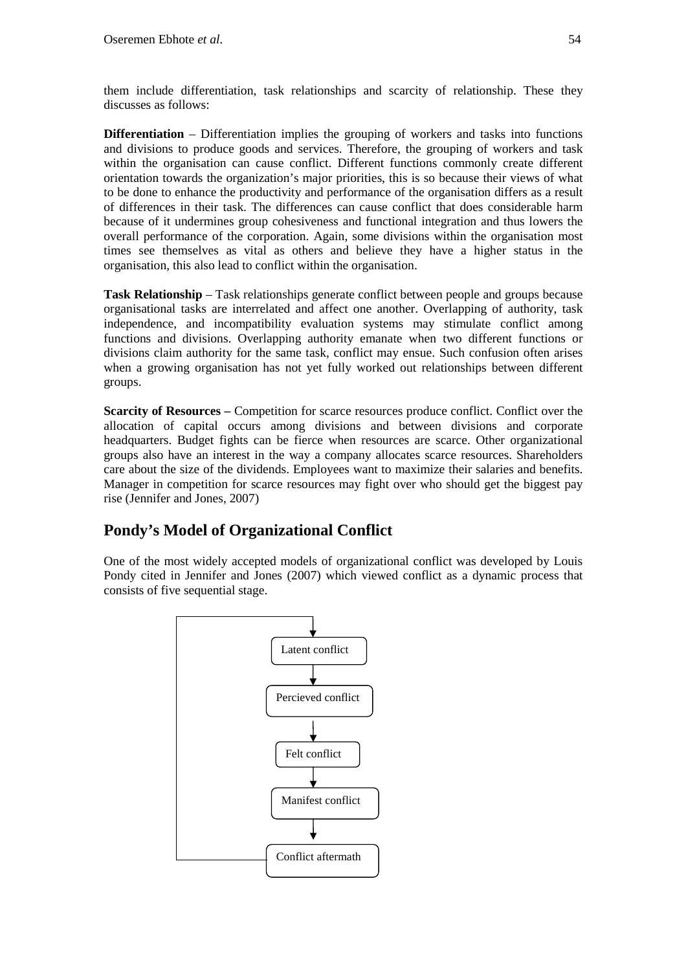them include differentiation, task relationships and scarcity of relationship. These they discusses as follows:

**Differentiation** – Differentiation implies the grouping of workers and tasks into functions and divisions to produce goods and services. Therefore, the grouping of workers and task within the organisation can cause conflict. Different functions commonly create different orientation towards the organization's major priorities, this is so because their views of what to be done to enhance the productivity and performance of the organisation differs as a result of differences in their task. The differences can cause conflict that does considerable harm because of it undermines group cohesiveness and functional integration and thus lowers the overall performance of the corporation. Again, some divisions within the organisation most times see themselves as vital as others and believe they have a higher status in the organisation, this also lead to conflict within the organisation.

**Task Relationship** – Task relationships generate conflict between people and groups because organisational tasks are interrelated and affect one another. Overlapping of authority, task independence, and incompatibility evaluation systems may stimulate conflict among functions and divisions. Overlapping authority emanate when two different functions or divisions claim authority for the same task, conflict may ensue. Such confusion often arises when a growing organisation has not yet fully worked out relationships between different groups.

**Scarcity of Resources – Competition for scarce resources produce conflict. Conflict over the** allocation of capital occurs among divisions and between divisions and corporate headquarters. Budget fights can be fierce when resources are scarce. Other organizational groups also have an interest in the way a company allocates scarce resources. Shareholders care about the size of the dividends. Employees want to maximize their salaries and benefits. Manager in competition for scarce resources may fight over who should get the biggest pay rise (Jennifer and Jones, 2007)

## **Pondy's Model of Organizational Conflict**

One of the most widely accepted models of organizational conflict was developed by Louis Pondy cited in Jennifer and Jones (2007) which viewed conflict as a dynamic process that consists of five sequential stage.

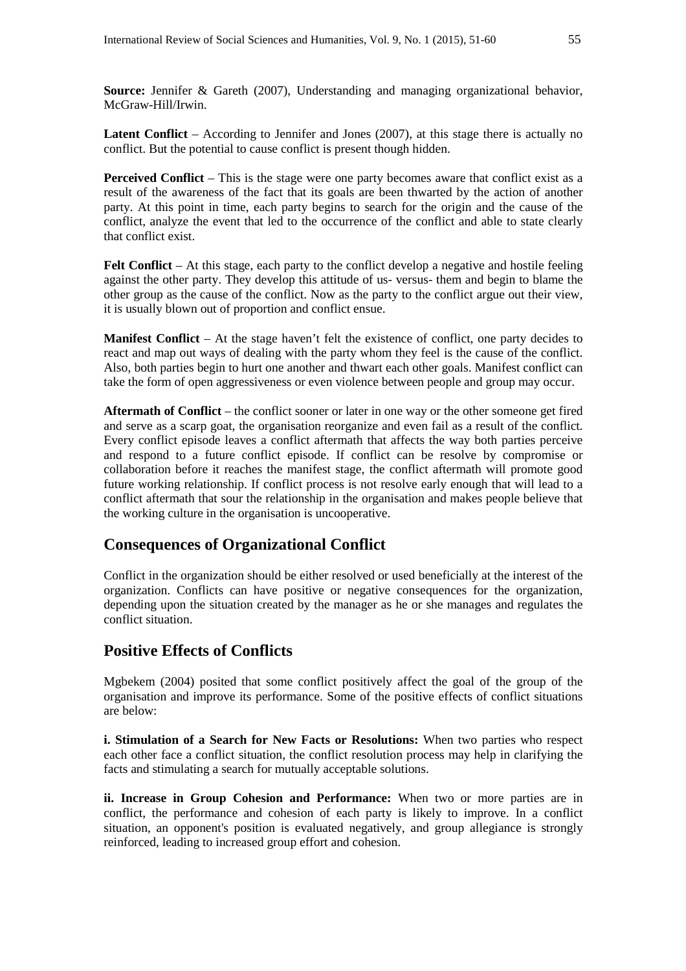**Source:** Jennifer & Gareth (2007), Understanding and managing organizational behavior, McGraw-Hill/Irwin.

**Latent Conflict** – According to Jennifer and Jones (2007), at this stage there is actually no conflict. But the potential to cause conflict is present though hidden.

**Perceived Conflict** – This is the stage were one party becomes aware that conflict exist as a result of the awareness of the fact that its goals are been thwarted by the action of another party. At this point in time, each party begins to search for the origin and the cause of the conflict, analyze the event that led to the occurrence of the conflict and able to state clearly that conflict exist.

Felt Conflict – At this stage, each party to the conflict develop a negative and hostile feeling against the other party. They develop this attitude of us- versus- them and begin to blame the other group as the cause of the conflict. Now as the party to the conflict argue out their view, it is usually blown out of proportion and conflict ensue.

**Manifest Conflict** – At the stage haven't felt the existence of conflict, one party decides to react and map out ways of dealing with the party whom they feel is the cause of the conflict. Also, both parties begin to hurt one another and thwart each other goals. Manifest conflict can take the form of open aggressiveness or even violence between people and group may occur.

**Aftermath of Conflict** – the conflict sooner or later in one way or the other someone get fired and serve as a scarp goat, the organisation reorganize and even fail as a result of the conflict. Every conflict episode leaves a conflict aftermath that affects the way both parties perceive and respond to a future conflict episode. If conflict can be resolve by compromise or collaboration before it reaches the manifest stage, the conflict aftermath will promote good future working relationship. If conflict process is not resolve early enough that will lead to a conflict aftermath that sour the relationship in the organisation and makes people believe that the working culture in the organisation is uncooperative.

### **Consequences of Organizational Conflict**

Conflict in the organization should be either resolved or used beneficially at the interest of the organization. Conflicts can have positive or negative consequences for the organization, depending upon the situation created by the manager as he or she manages and regulates the conflict situation.

#### **Positive Effects of Conflicts**

Mgbekem (2004) posited that some conflict positively affect the goal of the group of the organisation and improve its performance. Some of the positive effects of conflict situations are below:

**i. Stimulation of a Search for New Facts or Resolutions:** When two parties who respect each other face a conflict situation, the conflict resolution process may help in clarifying the facts and stimulating a search for mutually acceptable solutions.

**ii. Increase in Group Cohesion and Performance:** When two or more parties are in conflict, the performance and cohesion of each party is likely to improve. In a conflict situation, an opponent's position is evaluated negatively, and group allegiance is strongly reinforced, leading to increased group effort and cohesion.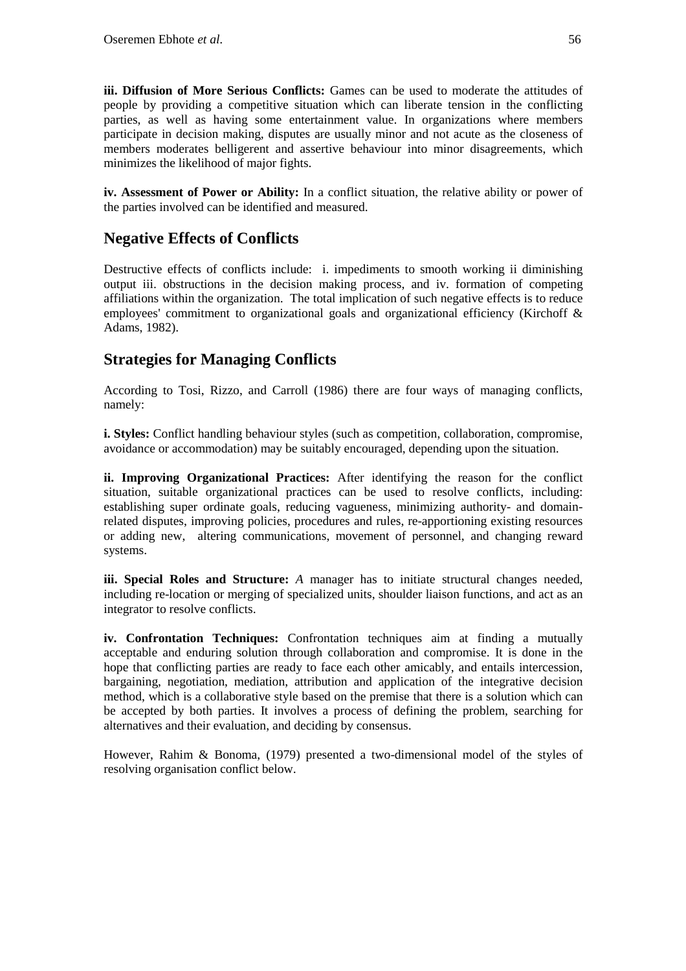**iii. Diffusion of More Serious Conflicts:** Games can be used to moderate the attitudes of people by providing a competitive situation which can liberate tension in the conflicting parties, as well as having some entertainment value. In organizations where members participate in decision making, disputes are usually minor and not acute as the closeness of members moderates belligerent and assertive behaviour into minor disagreements, which minimizes the likelihood of major fights.

**iv. Assessment of Power or Ability:** In a conflict situation, the relative ability or power of the parties involved can be identified and measured.

## **Negative Effects of Conflicts**

Destructive effects of conflicts include: i. impediments to smooth working ii diminishing output iii. obstructions in the decision making process, and iv. formation of competing affiliations within the organization. The total implication of such negative effects is to reduce employees' commitment to organizational goals and organizational efficiency (Kirchoff & Adams, 1982).

## **Strategies for Managing Conflicts**

According to Tosi, Rizzo, and Carroll (1986) there are four ways of managing conflicts, namely:

**i. Styles:** Conflict handling behaviour styles (such as competition, collaboration, compromise, avoidance or accommodation) may be suitably encouraged, depending upon the situation.

**ii. Improving Organizational Practices:** After identifying the reason for the conflict situation, suitable organizational practices can be used to resolve conflicts, including: establishing super ordinate goals, reducing vagueness, minimizing authority- and domainrelated disputes, improving policies, procedures and rules, re-apportioning existing resources or adding new, altering communications, movement of personnel, and changing reward systems.

**iii. Special Roles and Structure:** *A* manager has to initiate structural changes needed, including re-location or merging of specialized units, shoulder liaison functions, and act as an integrator to resolve conflicts.

**iv. Confrontation Techniques:** Confrontation techniques aim at finding a mutually acceptable and enduring solution through collaboration and compromise. It is done in the hope that conflicting parties are ready to face each other amicably, and entails intercession, bargaining, negotiation, mediation, attribution and application of the integrative decision method, which is a collaborative style based on the premise that there is a solution which can be accepted by both parties. It involves a process of defining the problem, searching for alternatives and their evaluation, and deciding by consensus.

However, Rahim & Bonoma, (1979) presented a two-dimensional model of the styles of resolving organisation conflict below.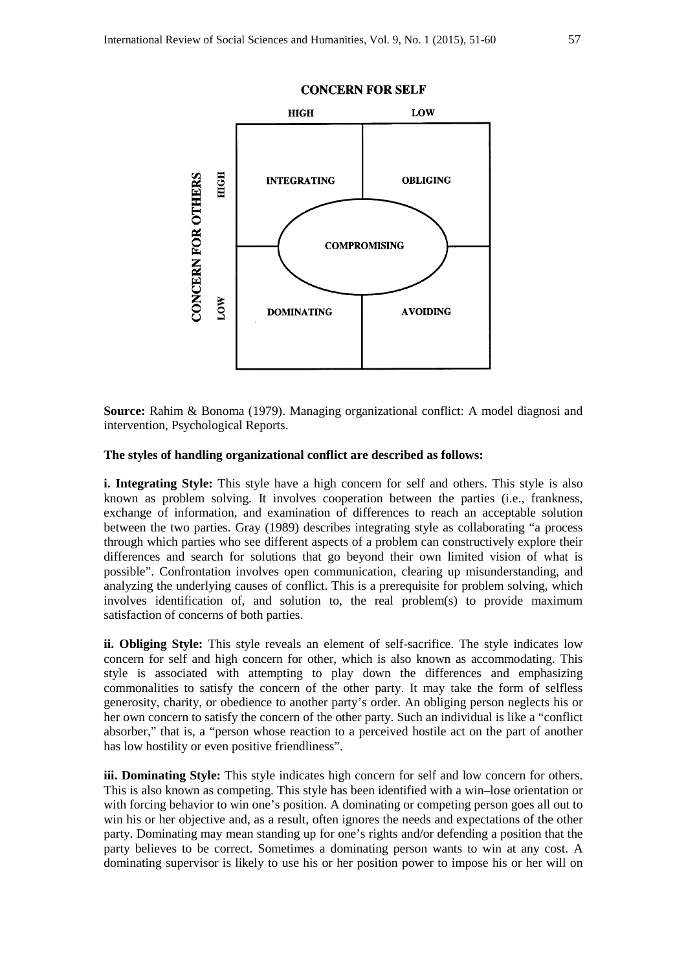

**Source:** Rahim & Bonoma (1979). Managing organizational conflict: A model diagnosi and intervention, Psychological Reports.

#### **The styles of handling organizational conflict are described as follows:**

**i. Integrating Style:** This style have a high concern for self and others. This style is also known as problem solving. It involves cooperation between the parties (i.e., frankness, exchange of information, and examination of differences to reach an acceptable solution between the two parties. Gray (1989) describes integrating style as collaborating "a process through which parties who see different aspects of a problem can constructively explore their differences and search for solutions that go beyond their own limited vision of what is possible". Confrontation involves open communication, clearing up misunderstanding, and analyzing the underlying causes of conflict. This is a prerequisite for problem solving, which involves identification of, and solution to, the real problem(s) to provide maximum satisfaction of concerns of both parties.

**ii. Obliging Style:** This style reveals an element of self-sacrifice. The style indicates low concern for self and high concern for other, which is also known as accommodating. This style is associated with attempting to play down the differences and emphasizing commonalities to satisfy the concern of the other party. It may take the form of selfless generosity, charity, or obedience to another party's order. An obliging person neglects his or her own concern to satisfy the concern of the other party. Such an individual is like a "conflict absorber," that is, a "person whose reaction to a perceived hostile act on the part of another has low hostility or even positive friendliness".

**iii. Dominating Style:** This style indicates high concern for self and low concern for others. This is also known as competing. This style has been identified with a win–lose orientation or with forcing behavior to win one's position. A dominating or competing person goes all out to win his or her objective and, as a result, often ignores the needs and expectations of the other party. Dominating may mean standing up for one's rights and/or defending a position that the party believes to be correct. Sometimes a dominating person wants to win at any cost. A dominating supervisor is likely to use his or her position power to impose his or her will on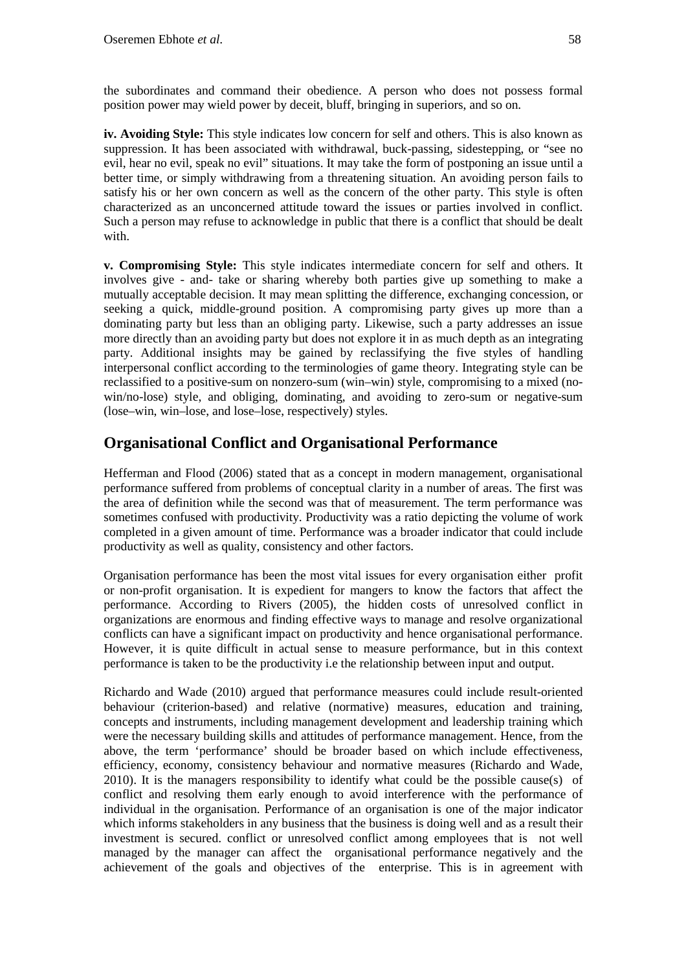the subordinates and command their obedience. A person who does not possess formal position power may wield power by deceit, bluff, bringing in superiors, and so on.

**iv. Avoiding Style:** This style indicates low concern for self and others. This is also known as suppression. It has been associated with withdrawal, buck-passing, sidestepping, or "see no evil, hear no evil, speak no evil" situations. It may take the form of postponing an issue until a better time, or simply withdrawing from a threatening situation. An avoiding person fails to satisfy his or her own concern as well as the concern of the other party. This style is often characterized as an unconcerned attitude toward the issues or parties involved in conflict. Such a person may refuse to acknowledge in public that there is a conflict that should be dealt with.

**v. Compromising Style:** This style indicates intermediate concern for self and others. It involves give - and- take or sharing whereby both parties give up something to make a mutually acceptable decision. It may mean splitting the difference, exchanging concession, or seeking a quick, middle-ground position. A compromising party gives up more than a dominating party but less than an obliging party. Likewise, such a party addresses an issue more directly than an avoiding party but does not explore it in as much depth as an integrating party. Additional insights may be gained by reclassifying the five styles of handling interpersonal conflict according to the terminologies of game theory. Integrating style can be reclassified to a positive-sum on nonzero-sum (win–win) style, compromising to a mixed (nowin/no-lose) style, and obliging, dominating, and avoiding to zero-sum or negative-sum (lose–win, win–lose, and lose–lose, respectively) styles.

### **Organisational Conflict and Organisational Performance**

Hefferman and Flood (2006) stated that as a concept in modern management, organisational performance suffered from problems of conceptual clarity in a number of areas. The first was the area of definition while the second was that of measurement. The term performance was sometimes confused with productivity. Productivity was a ratio depicting the volume of work completed in a given amount of time. Performance was a broader indicator that could include productivity as well as quality, consistency and other factors.

Organisation performance has been the most vital issues for every organisation either profit or non-profit organisation. It is expedient for mangers to know the factors that affect the performance. According to Rivers (2005), the hidden costs of unresolved conflict in organizations are enormous and finding effective ways to manage and resolve organizational conflicts can have a significant impact on productivity and hence organisational performance. However, it is quite difficult in actual sense to measure performance, but in this context performance is taken to be the productivity i.e the relationship between input and output.

Richardo and Wade (2010) argued that performance measures could include result-oriented behaviour (criterion-based) and relative (normative) measures, education and training, concepts and instruments, including management development and leadership training which were the necessary building skills and attitudes of performance management. Hence, from the above, the term 'performance' should be broader based on which include effectiveness, efficiency, economy, consistency behaviour and normative measures (Richardo and Wade, 2010). It is the managers responsibility to identify what could be the possible cause(s) of conflict and resolving them early enough to avoid interference with the performance of individual in the organisation. Performance of an organisation is one of the major indicator which informs stakeholders in any business that the business is doing well and as a result their investment is secured. conflict or unresolved conflict among employees that is not well managed by the manager can affect the organisational performance negatively and the achievement of the goals and objectives of the enterprise. This is in agreement with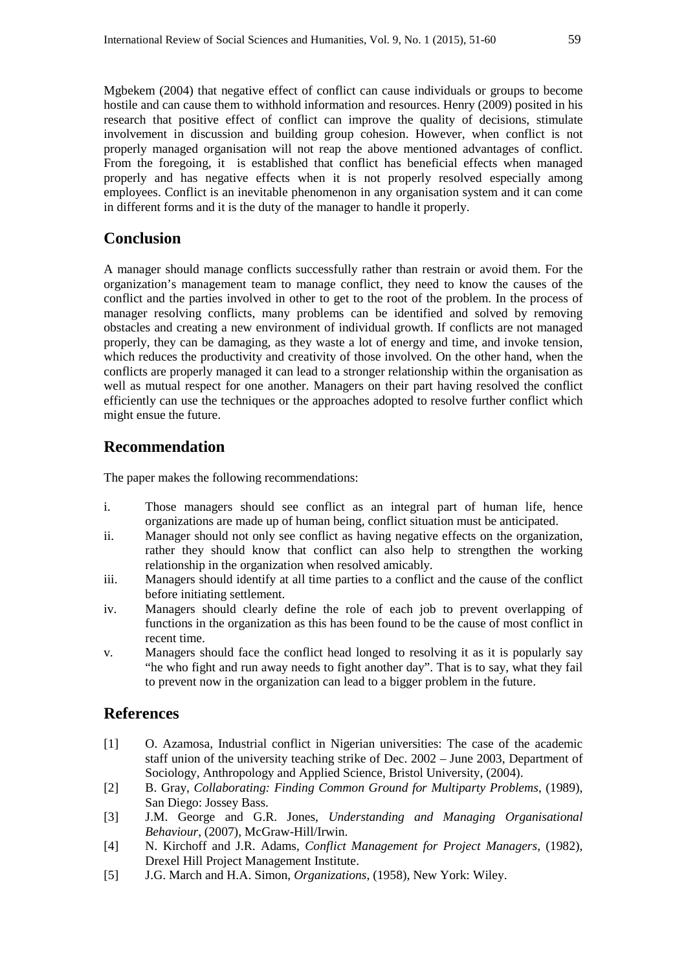Mgbekem (2004) that negative effect of conflict can cause individuals or groups to become hostile and can cause them to withhold information and resources. Henry (2009) posited in his research that positive effect of conflict can improve the quality of decisions, stimulate involvement in discussion and building group cohesion. However, when conflict is not properly managed organisation will not reap the above mentioned advantages of conflict. From the foregoing, it is established that conflict has beneficial effects when managed properly and has negative effects when it is not properly resolved especially among employees. Conflict is an inevitable phenomenon in any organisation system and it can come in different forms and it is the duty of the manager to handle it properly.

### **Conclusion**

A manager should manage conflicts successfully rather than restrain or avoid them. For the organization's management team to manage conflict, they need to know the causes of the conflict and the parties involved in other to get to the root of the problem. In the process of manager resolving conflicts, many problems can be identified and solved by removing obstacles and creating a new environment of individual growth. If conflicts are not managed properly, they can be damaging, as they waste a lot of energy and time, and invoke tension, which reduces the productivity and creativity of those involved. On the other hand, when the conflicts are properly managed it can lead to a stronger relationship within the organisation as well as mutual respect for one another. Managers on their part having resolved the conflict efficiently can use the techniques or the approaches adopted to resolve further conflict which might ensue the future.

#### **Recommendation**

The paper makes the following recommendations:

- i. Those managers should see conflict as an integral part of human life, hence organizations are made up of human being, conflict situation must be anticipated.
- ii. Manager should not only see conflict as having negative effects on the organization, rather they should know that conflict can also help to strengthen the working relationship in the organization when resolved amicably.
- iii. Managers should identify at all time parties to a conflict and the cause of the conflict before initiating settlement.
- iv. Managers should clearly define the role of each job to prevent overlapping of functions in the organization as this has been found to be the cause of most conflict in recent time.
- v. Managers should face the conflict head longed to resolving it as it is popularly say "he who fight and run away needs to fight another day". That is to say, what they fail to prevent now in the organization can lead to a bigger problem in the future.

#### **References**

- [1] O. Azamosa, Industrial conflict in Nigerian universities: The case of the academic staff union of the university teaching strike of Dec. 2002 – June 2003, Department of Sociology, Anthropology and Applied Science, Bristol University, (2004).
- [2] B. Gray, *Collaborating: Finding Common Ground for Multiparty Problems*, (1989), San Diego: Jossey Bass.
- [3] J.M. George and G.R. Jones, *Understanding and Managing Organisational Behaviour*, (2007), McGraw-Hill/Irwin.
- [4] N. Kirchoff and J.R. Adams, *Conflict Management for Project Managers*, (1982), Drexel Hill Project Management Institute.
- [5] J.G. March and H.A. Simon, *Organizations*, (1958), New York: Wiley.